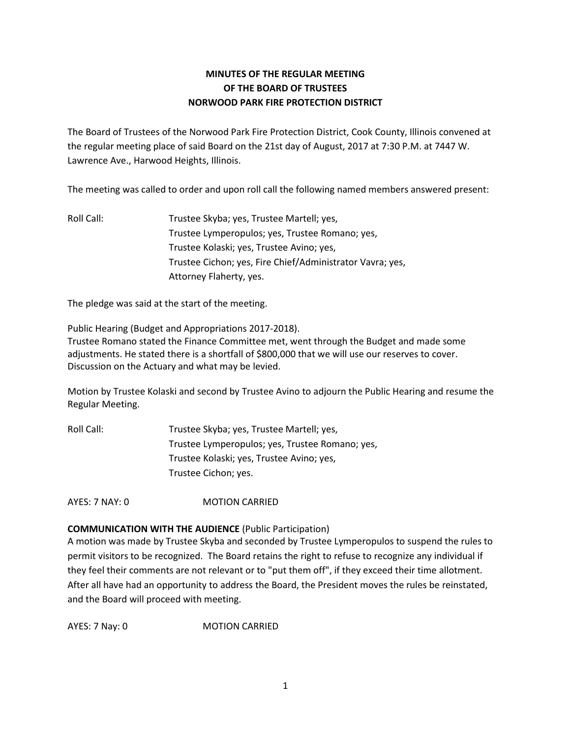# **MINUTES OF THE REGULAR MEETING OF THE BOARD OF TRUSTEES NORWOOD PARK FIRE PROTECTION DISTRICT**

The Board of Trustees of the Norwood Park Fire Protection District, Cook County, Illinois convened at the regular meeting place of said Board on the 21st day of August, 2017 at 7:30 P.M. at 7447 W. Lawrence Ave., Harwood Heights, Illinois.

The meeting was called to order and upon roll call the following named members answered present:

Roll Call: Trustee Skyba; yes, Trustee Martell; yes, Trustee Lymperopulos; yes, Trustee Romano; yes, Trustee Kolaski; yes, Trustee Avino; yes, Trustee Cichon; yes, Fire Chief/Administrator Vavra; yes, Attorney Flaherty, yes.

The pledge was said at the start of the meeting.

Public Hearing (Budget and Appropriations 2017-2018). Trustee Romano stated the Finance Committee met, went through the Budget and made some adjustments. He stated there is a shortfall of \$800,000 that we will use our reserves to cover. Discussion on the Actuary and what may be levied.

Motion by Trustee Kolaski and second by Trustee Avino to adjourn the Public Hearing and resume the Regular Meeting.

Roll Call: Trustee Skyba; yes, Trustee Martell; yes, Trustee Lymperopulos; yes, Trustee Romano; yes, Trustee Kolaski; yes, Trustee Avino; yes, Trustee Cichon; yes.

AYES: 7 NAY: 0 MOTION CARRIED

## **COMMUNICATION WITH THE AUDIENCE** (Public Participation)

A motion was made by Trustee Skyba and seconded by Trustee Lymperopulos to suspend the rules to permit visitors to be recognized. The Board retains the right to refuse to recognize any individual if they feel their comments are not relevant or to "put them off", if they exceed their time allotment. After all have had an opportunity to address the Board, the President moves the rules be reinstated, and the Board will proceed with meeting.

AYES: 7 Nay: 0 **MOTION CARRIED**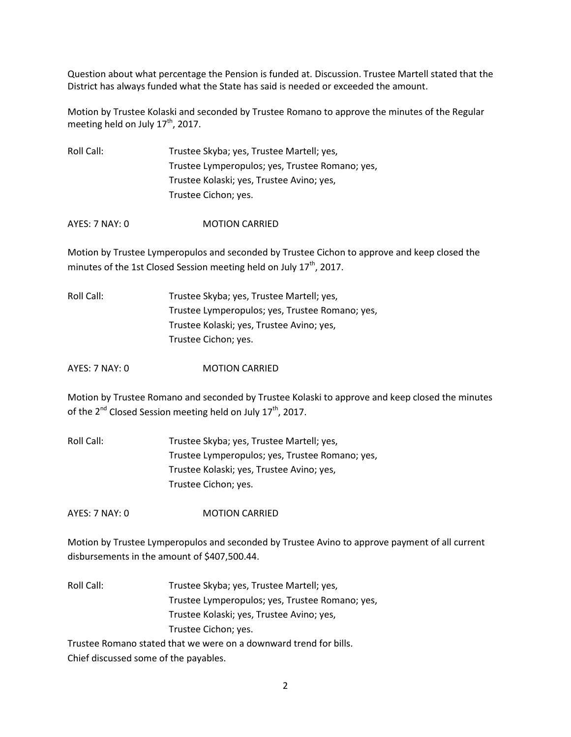Question about what percentage the Pension is funded at. Discussion. Trustee Martell stated that the District has always funded what the State has said is needed or exceeded the amount.

Motion by Trustee Kolaski and seconded by Trustee Romano to approve the minutes of the Regular meeting held on July  $17<sup>th</sup>$ , 2017.

Roll Call: Trustee Skyba; yes, Trustee Martell; yes, Trustee Lymperopulos; yes, Trustee Romano; yes, Trustee Kolaski; yes, Trustee Avino; yes, Trustee Cichon; yes.

AYES: 7 NAY: 0 MOTION CARRIED

Motion by Trustee Lymperopulos and seconded by Trustee Cichon to approve and keep closed the minutes of the 1st Closed Session meeting held on July  $17<sup>th</sup>$ , 2017.

| Roll Call: | Trustee Skyba; yes, Trustee Martell; yes,       |
|------------|-------------------------------------------------|
|            | Trustee Lymperopulos; yes, Trustee Romano; yes, |
|            | Trustee Kolaski; yes, Trustee Avino; yes,       |
|            | Trustee Cichon; yes.                            |

AYES: 7 NAY: 0 MOTION CARRIED

Motion by Trustee Romano and seconded by Trustee Kolaski to approve and keep closed the minutes of the 2<sup>nd</sup> Closed Session meeting held on July 17<sup>th</sup>, 2017.

Roll Call: Trustee Skyba; yes, Trustee Martell; yes, Trustee Lymperopulos; yes, Trustee Romano; yes, Trustee Kolaski; yes, Trustee Avino; yes, Trustee Cichon; yes.

AYES: 7 NAY: 0 MOTION CARRIED

Motion by Trustee Lymperopulos and seconded by Trustee Avino to approve payment of all current disbursements in the amount of \$407,500.44.

Roll Call: Trustee Skyba; yes, Trustee Martell; yes, Trustee Lymperopulos; yes, Trustee Romano; yes, Trustee Kolaski; yes, Trustee Avino; yes, Trustee Cichon; yes.

Trustee Romano stated that we were on a downward trend for bills. Chief discussed some of the payables.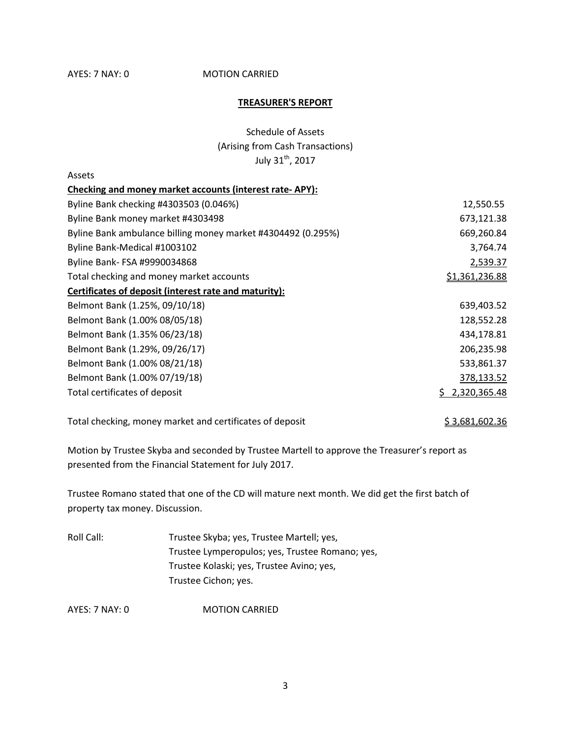## AYES: 7 NAY: 0 **MOTION CARRIED**

#### **TREASURER'S REPORT**

Schedule of Assets (Arising from Cash Transactions) July 31<sup>th</sup>, 2017

| Assets                                                       |                |
|--------------------------------------------------------------|----------------|
| Checking and money market accounts (interest rate-APY):      |                |
| Byline Bank checking #4303503 (0.046%)                       | 12,550.55      |
| Byline Bank money market #4303498                            | 673,121.38     |
| Byline Bank ambulance billing money market #4304492 (0.295%) | 669,260.84     |
| Byline Bank-Medical #1003102                                 | 3,764.74       |
| Byline Bank- FSA #9990034868                                 | 2,539.37       |
| Total checking and money market accounts                     | \$1,361,236.88 |
| Certificates of deposit (interest rate and maturity):        |                |
| Belmont Bank (1.25%, 09/10/18)                               | 639,403.52     |
| Belmont Bank (1.00% 08/05/18)                                | 128,552.28     |
| Belmont Bank (1.35% 06/23/18)                                | 434,178.81     |
| Belmont Bank (1.29%, 09/26/17)                               | 206,235.98     |
| Belmont Bank (1.00% 08/21/18)                                | 533,861.37     |
| Belmont Bank (1.00% 07/19/18)                                | 378,133.52     |
| Total certificates of deposit                                | 2,320,365.48   |

Total checking, money market and certificates of deposit  $$3,681,602.36$ 

Motion by Trustee Skyba and seconded by Trustee Martell to approve the Treasurer's report as presented from the Financial Statement for July 2017.

Trustee Romano stated that one of the CD will mature next month. We did get the first batch of property tax money. Discussion.

Roll Call: Trustee Skyba; yes, Trustee Martell; yes, Trustee Lymperopulos; yes, Trustee Romano; yes, Trustee Kolaski; yes, Trustee Avino; yes, Trustee Cichon; yes.

AYES: 7 NAY: 0 MOTION CARRIED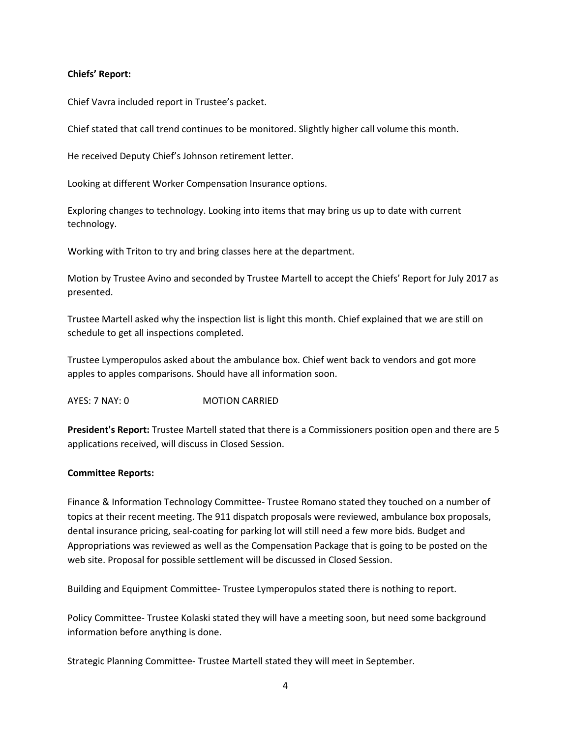## **Chiefs' Report:**

Chief Vavra included report in Trustee's packet.

Chief stated that call trend continues to be monitored. Slightly higher call volume this month.

He received Deputy Chief's Johnson retirement letter.

Looking at different Worker Compensation Insurance options.

Exploring changes to technology. Looking into items that may bring us up to date with current technology.

Working with Triton to try and bring classes here at the department.

Motion by Trustee Avino and seconded by Trustee Martell to accept the Chiefs' Report for July 2017 as presented.

Trustee Martell asked why the inspection list is light this month. Chief explained that we are still on schedule to get all inspections completed.

Trustee Lymperopulos asked about the ambulance box. Chief went back to vendors and got more apples to apples comparisons. Should have all information soon.

AYES: 7 NAY: 0 **MOTION CARRIED** 

**President's Report:** Trustee Martell stated that there is a Commissioners position open and there are 5 applications received, will discuss in Closed Session.

## **Committee Reports:**

Finance & Information Technology Committee- Trustee Romano stated they touched on a number of topics at their recent meeting. The 911 dispatch proposals were reviewed, ambulance box proposals, dental insurance pricing, seal-coating for parking lot will still need a few more bids. Budget and Appropriations was reviewed as well as the Compensation Package that is going to be posted on the web site. Proposal for possible settlement will be discussed in Closed Session.

Building and Equipment Committee- Trustee Lymperopulos stated there is nothing to report.

Policy Committee- Trustee Kolaski stated they will have a meeting soon, but need some background information before anything is done.

Strategic Planning Committee- Trustee Martell stated they will meet in September.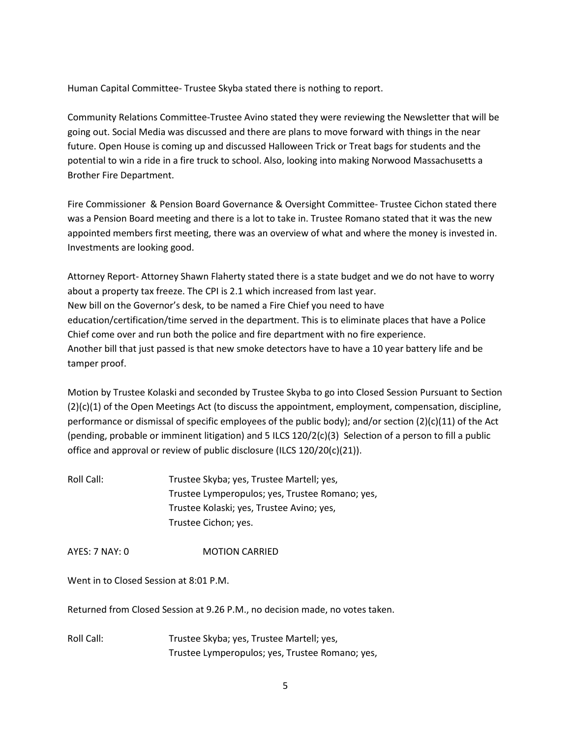Human Capital Committee- Trustee Skyba stated there is nothing to report.

Community Relations Committee-Trustee Avino stated they were reviewing the Newsletter that will be going out. Social Media was discussed and there are plans to move forward with things in the near future. Open House is coming up and discussed Halloween Trick or Treat bags for students and the potential to win a ride in a fire truck to school. Also, looking into making Norwood Massachusetts a Brother Fire Department.

Fire Commissioner & Pension Board Governance & Oversight Committee- Trustee Cichon stated there was a Pension Board meeting and there is a lot to take in. Trustee Romano stated that it was the new appointed members first meeting, there was an overview of what and where the money is invested in. Investments are looking good.

Attorney Report- Attorney Shawn Flaherty stated there is a state budget and we do not have to worry about a property tax freeze. The CPI is 2.1 which increased from last year. New bill on the Governor's desk, to be named a Fire Chief you need to have education/certification/time served in the department. This is to eliminate places that have a Police Chief come over and run both the police and fire department with no fire experience. Another bill that just passed is that new smoke detectors have to have a 10 year battery life and be tamper proof.

Motion by Trustee Kolaski and seconded by Trustee Skyba to go into Closed Session Pursuant to Section (2)(c)(1) of the Open Meetings Act (to discuss the appointment, employment, compensation, discipline, performance or dismissal of specific employees of the public body); and/or section (2)(c)(11) of the Act (pending, probable or imminent litigation) and 5 ILCS 120/2(c)(3) Selection of a person to fill a public office and approval or review of public disclosure (ILCS 120/20(c)(21)).

Roll Call: Trustee Skyba; yes, Trustee Martell; yes, Trustee Lymperopulos; yes, Trustee Romano; yes, Trustee Kolaski; yes, Trustee Avino; yes, Trustee Cichon; yes.

AYES: 7 NAY: 0 **MOTION CARRIED** 

Went in to Closed Session at 8:01 P.M.

Returned from Closed Session at 9.26 P.M., no decision made, no votes taken.

Roll Call: Trustee Skyba; yes, Trustee Martell; yes, Trustee Lymperopulos; yes, Trustee Romano; yes,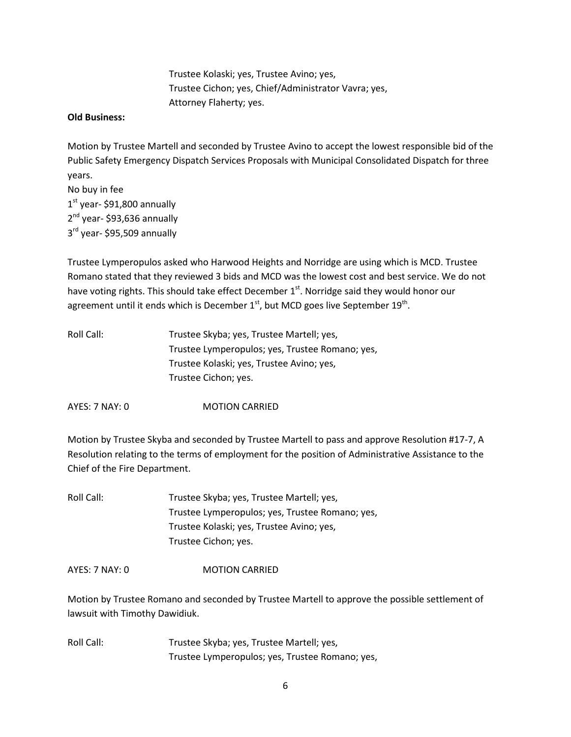Trustee Kolaski; yes, Trustee Avino; yes, Trustee Cichon; yes, Chief/Administrator Vavra; yes, Attorney Flaherty; yes.

#### **Old Business:**

Motion by Trustee Martell and seconded by Trustee Avino to accept the lowest responsible bid of the Public Safety Emergency Dispatch Services Proposals with Municipal Consolidated Dispatch for three years.

No buy in fee 1st year- \$91,800 annually 2<sup>nd</sup> year- \$93,636 annually 3<sup>rd</sup> year- \$95,509 annually

Trustee Lymperopulos asked who Harwood Heights and Norridge are using which is MCD. Trustee Romano stated that they reviewed 3 bids and MCD was the lowest cost and best service. We do not have voting rights. This should take effect December  $1<sup>st</sup>$ . Norridge said they would honor our agreement until it ends which is December  $1<sup>st</sup>$ , but MCD goes live September  $19<sup>th</sup>$ .

| Roll Call: | Trustee Skyba; yes, Trustee Martell; yes,       |
|------------|-------------------------------------------------|
|            | Trustee Lymperopulos; yes, Trustee Romano; yes, |
|            | Trustee Kolaski; yes, Trustee Avino; yes,       |
|            | Trustee Cichon; yes.                            |
|            |                                                 |

AYES: 7 NAY: 0 MOTION CARRIED

Motion by Trustee Skyba and seconded by Trustee Martell to pass and approve Resolution #17-7, A Resolution relating to the terms of employment for the position of Administrative Assistance to the Chief of the Fire Department.

| Roll Call: | Trustee Skyba; yes, Trustee Martell; yes,       |
|------------|-------------------------------------------------|
|            | Trustee Lymperopulos; yes, Trustee Romano; yes, |
|            | Trustee Kolaski; yes, Trustee Avino; yes,       |
|            | Trustee Cichon; yes.                            |

AYES: 7 NAY: 0 MOTION CARRIED

Motion by Trustee Romano and seconded by Trustee Martell to approve the possible settlement of lawsuit with Timothy Dawidiuk.

Roll Call: Trustee Skyba; yes, Trustee Martell; yes, Trustee Lymperopulos; yes, Trustee Romano; yes,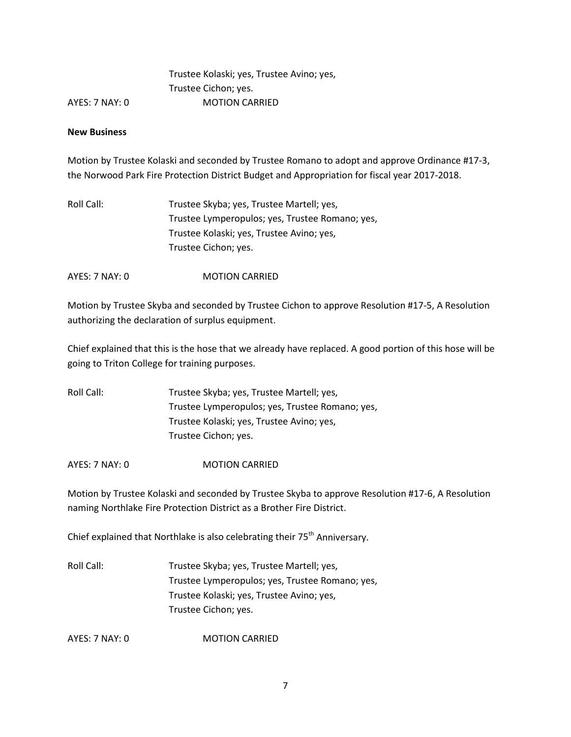|                | Trustee Kolaski; yes, Trustee Avino; yes |
|----------------|------------------------------------------|
|                | Trustee Cichon; yes.                     |
| AYES: 7 NAY: 0 | <b>MOTION CARRIED</b>                    |

#### **New Business**

Motion by Trustee Kolaski and seconded by Trustee Romano to adopt and approve Ordinance #17-3, the Norwood Park Fire Protection District Budget and Appropriation for fiscal year 2017-2018.

| Roll Call: I | Trustee Skyba; yes, Trustee Martell; yes,       |
|--------------|-------------------------------------------------|
|              | Trustee Lymperopulos; yes, Trustee Romano; yes, |
|              | Trustee Kolaski; yes, Trustee Avino; yes,       |
|              | Trustee Cichon; yes.                            |

AYES: 7 NAY: 0 MOTION CARRIED

Motion by Trustee Skyba and seconded by Trustee Cichon to approve Resolution #17-5, A Resolution authorizing the declaration of surplus equipment.

Chief explained that this is the hose that we already have replaced. A good portion of this hose will be going to Triton College for training purposes.

Roll Call: Trustee Skyba; yes, Trustee Martell; yes, Trustee Lymperopulos; yes, Trustee Romano; yes, Trustee Kolaski; yes, Trustee Avino; yes, Trustee Cichon; yes.

AYES: 7 NAY: 0 MOTION CARRIED

Motion by Trustee Kolaski and seconded by Trustee Skyba to approve Resolution #17-6, A Resolution naming Northlake Fire Protection District as a Brother Fire District.

Chief explained that Northlake is also celebrating their 75<sup>th</sup> Anniversary.

Roll Call: Trustee Skyba; yes, Trustee Martell; yes, Trustee Lymperopulos; yes, Trustee Romano; yes, Trustee Kolaski; yes, Trustee Avino; yes, Trustee Cichon; yes.

AYES: 7 NAY: 0 **MOTION CARRIED**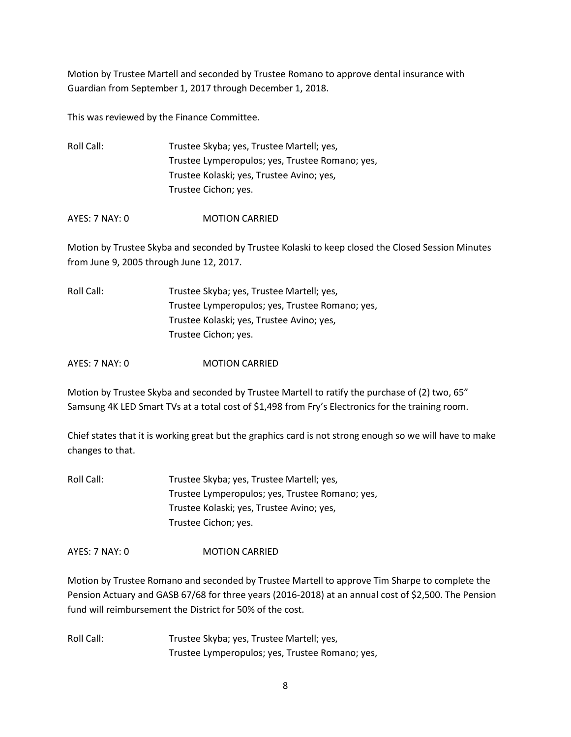Motion by Trustee Martell and seconded by Trustee Romano to approve dental insurance with Guardian from September 1, 2017 through December 1, 2018.

This was reviewed by the Finance Committee.

Roll Call: Trustee Skyba; yes, Trustee Martell; yes, Trustee Lymperopulos; yes, Trustee Romano; yes, Trustee Kolaski; yes, Trustee Avino; yes, Trustee Cichon; yes.

AYES: 7 NAY: 0 MOTION CARRIED

Motion by Trustee Skyba and seconded by Trustee Kolaski to keep closed the Closed Session Minutes from June 9, 2005 through June 12, 2017.

| Roll Call: | Trustee Skyba; yes, Trustee Martell; yes,       |
|------------|-------------------------------------------------|
|            | Trustee Lymperopulos; yes, Trustee Romano; yes, |
|            | Trustee Kolaski; yes, Trustee Avino; yes,       |
|            | Trustee Cichon; yes.                            |

AYES: 7 NAY: 0 MOTION CARRIED

Motion by Trustee Skyba and seconded by Trustee Martell to ratify the purchase of (2) two, 65" Samsung 4K LED Smart TVs at a total cost of \$1,498 from Fry's Electronics for the training room.

Chief states that it is working great but the graphics card is not strong enough so we will have to make changes to that.

Roll Call: Trustee Skyba; yes, Trustee Martell; yes, Trustee Lymperopulos; yes, Trustee Romano; yes, Trustee Kolaski; yes, Trustee Avino; yes, Trustee Cichon; yes.

AYES: 7 NAY: 0 MOTION CARRIED

Motion by Trustee Romano and seconded by Trustee Martell to approve Tim Sharpe to complete the Pension Actuary and GASB 67/68 for three years (2016-2018) at an annual cost of \$2,500. The Pension fund will reimbursement the District for 50% of the cost.

Roll Call: Trustee Skyba; yes, Trustee Martell; yes, Trustee Lymperopulos; yes, Trustee Romano; yes,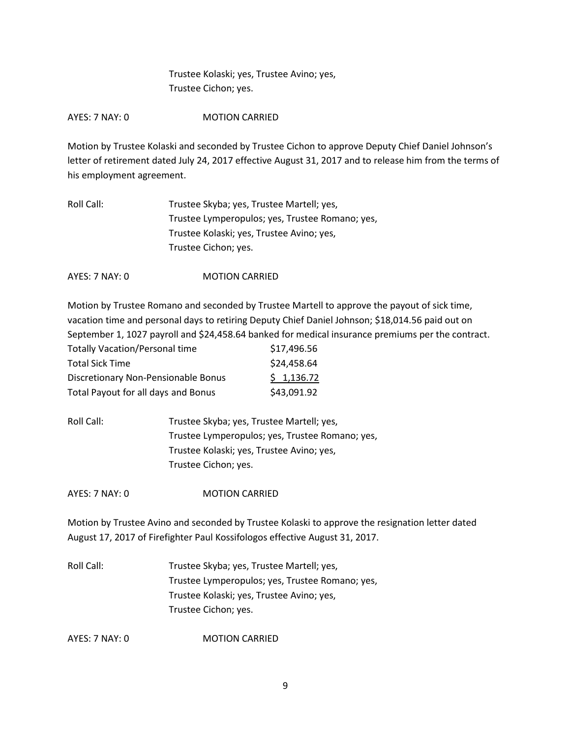Trustee Kolaski; yes, Trustee Avino; yes, Trustee Cichon; yes.

AYES: 7 NAY: 0 MOTION CARRIED

Motion by Trustee Kolaski and seconded by Trustee Cichon to approve Deputy Chief Daniel Johnson's letter of retirement dated July 24, 2017 effective August 31, 2017 and to release him from the terms of his employment agreement.

| Roll Call: | Trustee Skyba; yes, Trustee Martell; yes,       |
|------------|-------------------------------------------------|
|            | Trustee Lymperopulos; yes, Trustee Romano; yes, |
|            | Trustee Kolaski; yes, Trustee Avino; yes,       |
|            | Trustee Cichon; yes.                            |
|            |                                                 |

AYES: 7 NAY: 0 **MOTION CARRIED** 

Motion by Trustee Romano and seconded by Trustee Martell to approve the payout of sick time, vacation time and personal days to retiring Deputy Chief Daniel Johnson; \$18,014.56 paid out on September 1, 1027 payroll and \$24,458.64 banked for medical insurance premiums per the contract.

| <b>Totally Vacation/Personal time</b> | \$17,496.56 |
|---------------------------------------|-------------|
| <b>Total Sick Time</b>                | \$24,458.64 |
| Discretionary Non-Pensionable Bonus   | \$1,136.72  |
| Total Payout for all days and Bonus   | \$43,091.92 |

Roll Call: Trustee Skyba; yes, Trustee Martell; yes, Trustee Lymperopulos; yes, Trustee Romano; yes, Trustee Kolaski; yes, Trustee Avino; yes, Trustee Cichon; yes.

AYES: 7 NAY: 0 MOTION CARRIED

Motion by Trustee Avino and seconded by Trustee Kolaski to approve the resignation letter dated August 17, 2017 of Firefighter Paul Kossifologos effective August 31, 2017.

Roll Call: Trustee Skyba; yes, Trustee Martell; yes, Trustee Lymperopulos; yes, Trustee Romano; yes, Trustee Kolaski; yes, Trustee Avino; yes, Trustee Cichon; yes.

AYES: 7 NAY: 0 **MOTION CARRIED**